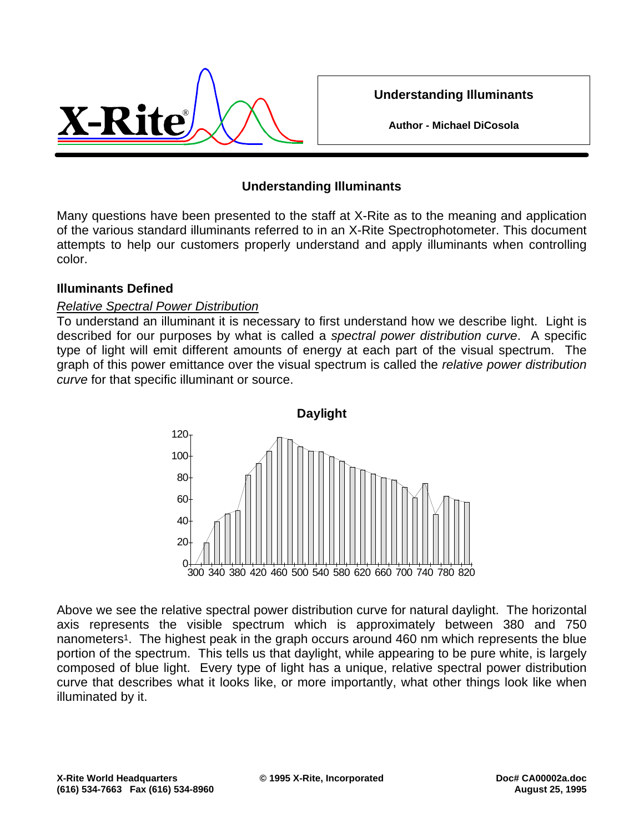

**Understanding Illuminants**

**Author - Michael DiCosola**

### **Understanding Illuminants**

Many questions have been presented to the staff at X-Rite as to the meaning and application of the various standard illuminants referred to in an X-Rite Spectrophotometer. This document attempts to help our customers properly understand and apply illuminants when controlling color.

#### **Illuminants Defined**

#### *Relative Spectral Power Distribution*

To understand an illuminant it is necessary to first understand how we describe light. Light is described for our purposes by what is called a *spectral power distribution curve*. A specific type of light will emit different amounts of energy at each part of the visual spectrum. The graph of this power emittance over the visual spectrum is called the *relative power distribution curve* for that specific illuminant or source.



Above we see the relative spectral power distribution curve for natural daylight. The horizontal axis represents the visible spectrum which is approximately between 380 and 750 nanometers<sup>1</sup>. The highest peak in the graph occurs around 460 nm which represents the blue portion of the spectrum. This tells us that daylight, while appearing to be pure white, is largely composed of blue light. Every type of light has a unique, relative spectral power distribution curve that describes what it looks like, or more importantly, what other things look like when illuminated by it.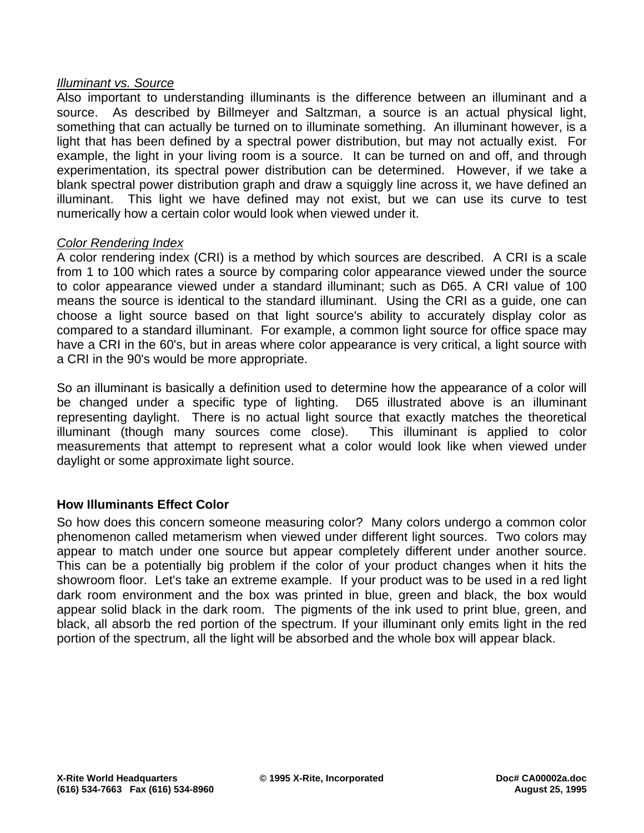#### *Illuminant vs. Source*

Also important to understanding illuminants is the difference between an illuminant and a source. As described by Billmeyer and Saltzman, a source is an actual physical light, something that can actually be turned on to illuminate something. An illuminant however, is a light that has been defined by a spectral power distribution, but may not actually exist. For example, the light in your living room is a source. It can be turned on and off, and through experimentation, its spectral power distribution can be determined. However, if we take a blank spectral power distribution graph and draw a squiggly line across it, we have defined an illuminant. This light we have defined may not exist, but we can use its curve to test numerically how a certain color would look when viewed under it.

#### *Color Rendering Index*

A color rendering index (CRI) is a method by which sources are described. A CRI is a scale from 1 to 100 which rates a source by comparing color appearance viewed under the source to color appearance viewed under a standard illuminant; such as D65. A CRI value of 100 means the source is identical to the standard illuminant. Using the CRI as a guide, one can choose a light source based on that light source's ability to accurately display color as compared to a standard illuminant. For example, a common light source for office space may have a CRI in the 60's, but in areas where color appearance is very critical, a light source with a CRI in the 90's would be more appropriate.

So an illuminant is basically a definition used to determine how the appearance of a color will be changed under a specific type of lighting. D65 illustrated above is an illuminant representing daylight. There is no actual light source that exactly matches the theoretical illuminant (though many sources come close). This illuminant is applied to color measurements that attempt to represent what a color would look like when viewed under daylight or some approximate light source.

#### **How Illuminants Effect Color**

So how does this concern someone measuring color? Many colors undergo a common color phenomenon called metamerism when viewed under different light sources. Two colors may appear to match under one source but appear completely different under another source. This can be a potentially big problem if the color of your product changes when it hits the showroom floor. Let's take an extreme example. If your product was to be used in a red light dark room environment and the box was printed in blue, green and black, the box would appear solid black in the dark room. The pigments of the ink used to print blue, green, and black, all absorb the red portion of the spectrum. If your illuminant only emits light in the red portion of the spectrum, all the light will be absorbed and the whole box will appear black.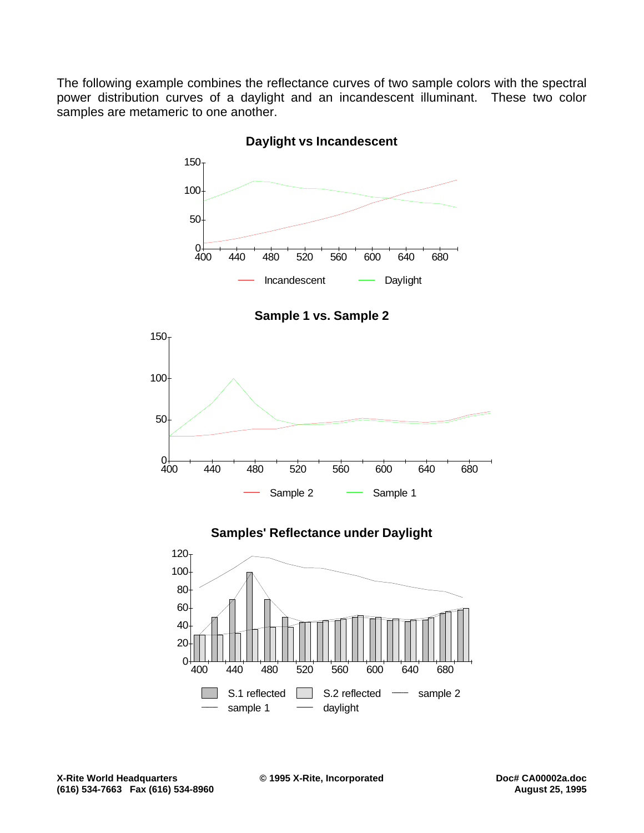The following example combines the reflectance curves of two sample colors with the spectral power distribution curves of a daylight and an incandescent illuminant. These two color samples are metameric to one another.



**Daylight vs Incandescent**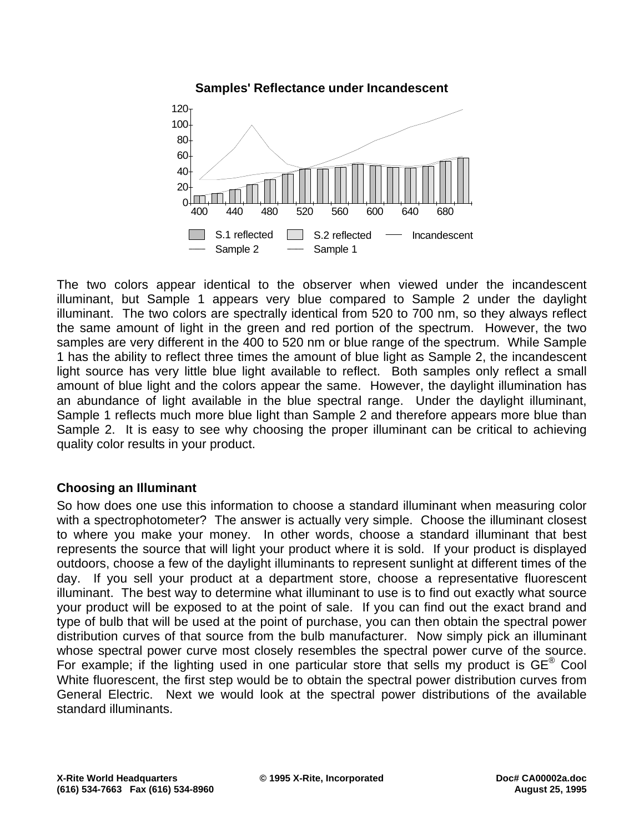

The two colors appear identical to the observer when viewed under the incandescent illuminant, but Sample 1 appears very blue compared to Sample 2 under the daylight illuminant. The two colors are spectrally identical from 520 to 700 nm, so they always reflect the same amount of light in the green and red portion of the spectrum. However, the two samples are very different in the 400 to 520 nm or blue range of the spectrum. While Sample 1 has the ability to reflect three times the amount of blue light as Sample 2, the incandescent light source has very little blue light available to reflect. Both samples only reflect a small amount of blue light and the colors appear the same. However, the daylight illumination has an abundance of light available in the blue spectral range. Under the daylight illuminant, Sample 1 reflects much more blue light than Sample 2 and therefore appears more blue than Sample 2. It is easy to see why choosing the proper illuminant can be critical to achieving quality color results in your product.

## **Choosing an Illuminant**

So how does one use this information to choose a standard illuminant when measuring color with a spectrophotometer? The answer is actually very simple. Choose the illuminant closest to where you make your money. In other words, choose a standard illuminant that best represents the source that will light your product where it is sold. If your product is displayed outdoors, choose a few of the daylight illuminants to represent sunlight at different times of the day. If you sell your product at a department store, choose a representative fluorescent illuminant. The best way to determine what illuminant to use is to find out exactly what source your product will be exposed to at the point of sale. If you can find out the exact brand and type of bulb that will be used at the point of purchase, you can then obtain the spectral power distribution curves of that source from the bulb manufacturer. Now simply pick an illuminant whose spectral power curve most closely resembles the spectral power curve of the source. For example; if the lighting used in one particular store that sells my product is  $GE^{\circledast}$  Cool White fluorescent, the first step would be to obtain the spectral power distribution curves from General Electric. Next we would look at the spectral power distributions of the available standard illuminants.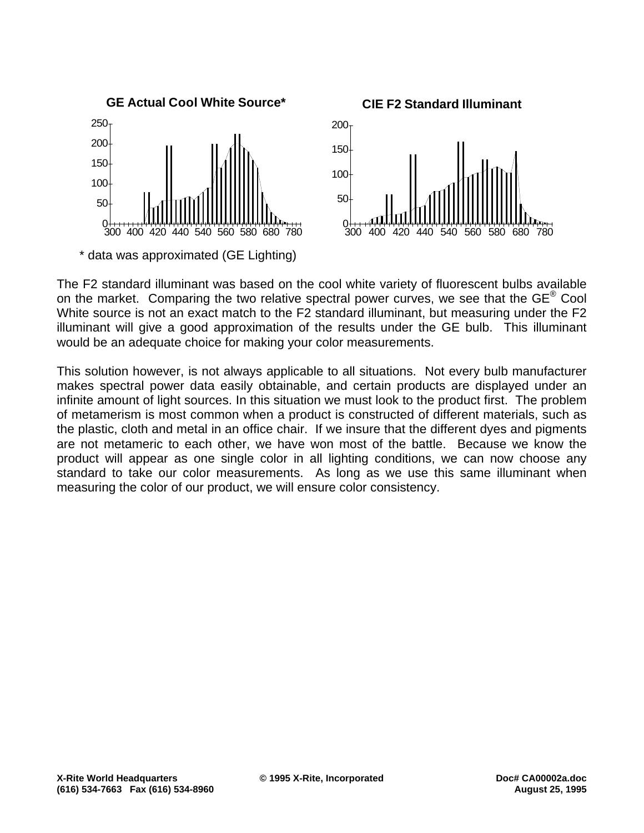

The F2 standard illuminant was based on the cool white variety of fluorescent bulbs available on the market. Comparing the two relative spectral power curves, we see that the GE<sup>®</sup> Cool White source is not an exact match to the F2 standard illuminant, but measuring under the F2 illuminant will give a good approximation of the results under the GE bulb. This illuminant would be an adequate choice for making your color measurements.

This solution however, is not always applicable to all situations. Not every bulb manufacturer makes spectral power data easily obtainable, and certain products are displayed under an infinite amount of light sources. In this situation we must look to the product first. The problem of metamerism is most common when a product is constructed of different materials, such as the plastic, cloth and metal in an office chair. If we insure that the different dyes and pigments are not metameric to each other, we have won most of the battle. Because we know the product will appear as one single color in all lighting conditions, we can now choose any standard to take our color measurements. As long as we use this same illuminant when measuring the color of our product, we will ensure color consistency.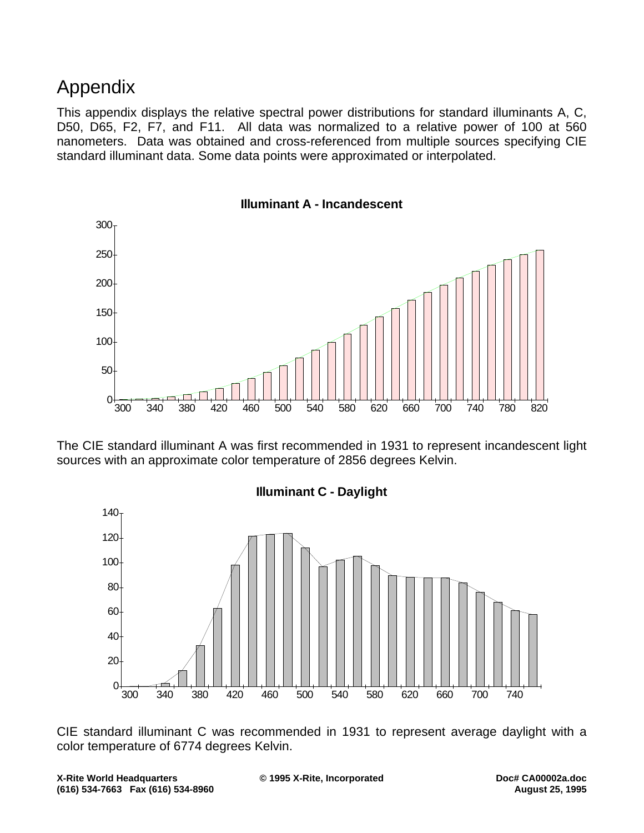# Appendix

This appendix displays the relative spectral power distributions for standard illuminants A, C, D50, D65, F2, F7, and F11. All data was normalized to a relative power of 100 at 560 nanometers. Data was obtained and cross-referenced from multiple sources specifying CIE standard illuminant data. Some data points were approximated or interpolated.



The CIE standard illuminant A was first recommended in 1931 to represent incandescent light sources with an approximate color temperature of 2856 degrees Kelvin.



CIE standard illuminant C was recommended in 1931 to represent average daylight with a color temperature of 6774 degrees Kelvin.

**X-Rite World Headquarters © 1995 X-Rite, Incorporated Doc# CA00002a.doc (616) 534-7663 Fax (616) 534-8960 August 25, 1995**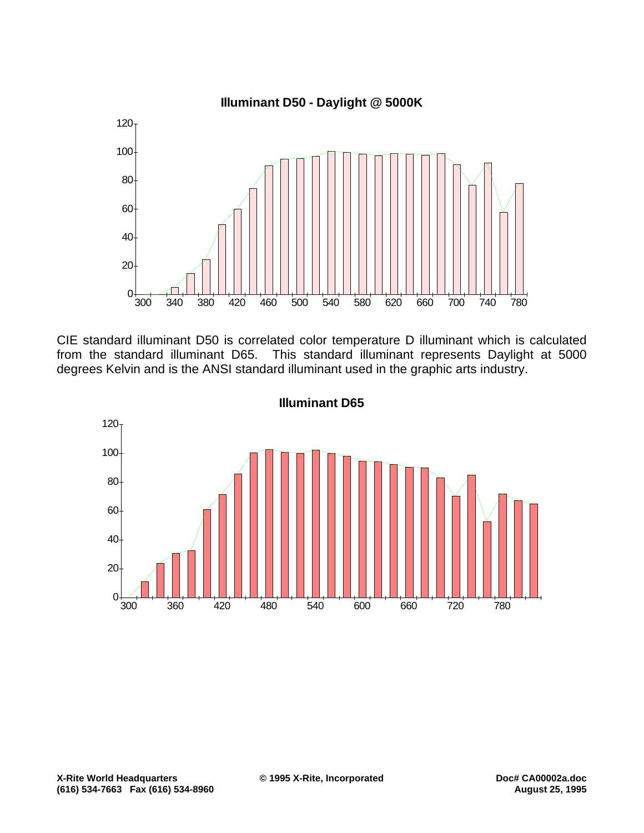

CIE standard illuminant D50 is correlated color temperature D illuminant which is calculated from the standard illuminant D65. This standard illuminant represents Daylight at 5000 degrees Kelvin and is the ANSI standard illuminant used in the graphic arts industry.



**Illuminant D65**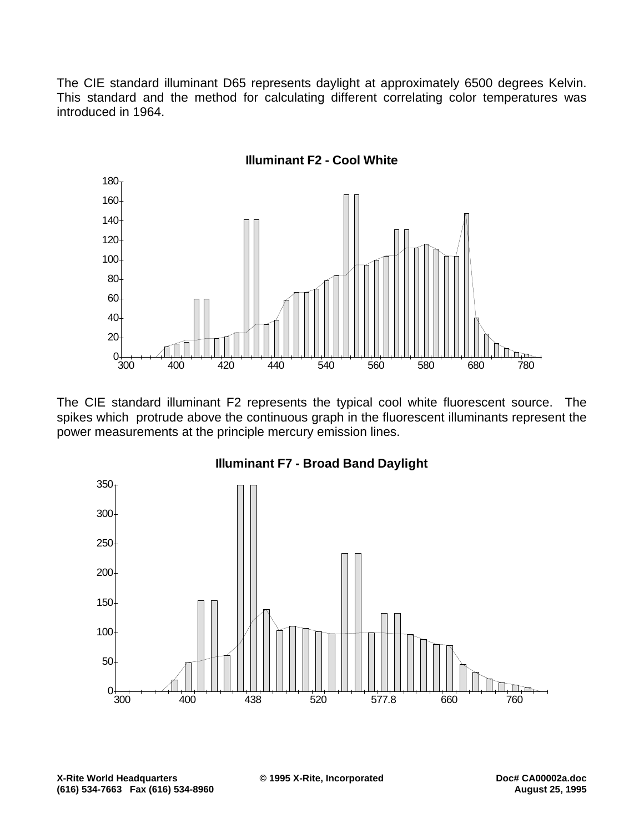The CIE standard illuminant D65 represents daylight at approximately 6500 degrees Kelvin. This standard and the method for calculating different correlating color temperatures was introduced in 1964.



The CIE standard illuminant F2 represents the typical cool white fluorescent source. The spikes which protrude above the continuous graph in the fluorescent illuminants represent the power measurements at the principle mercury emission lines.



**Illuminant F7 - Broad Band Daylight**

**X-Rite World Headquarters © 1995 X-Rite, Incorporated Doc# CA00002a.doc (616) 534-7663 Fax (616) 534-8960 August 25, 1995**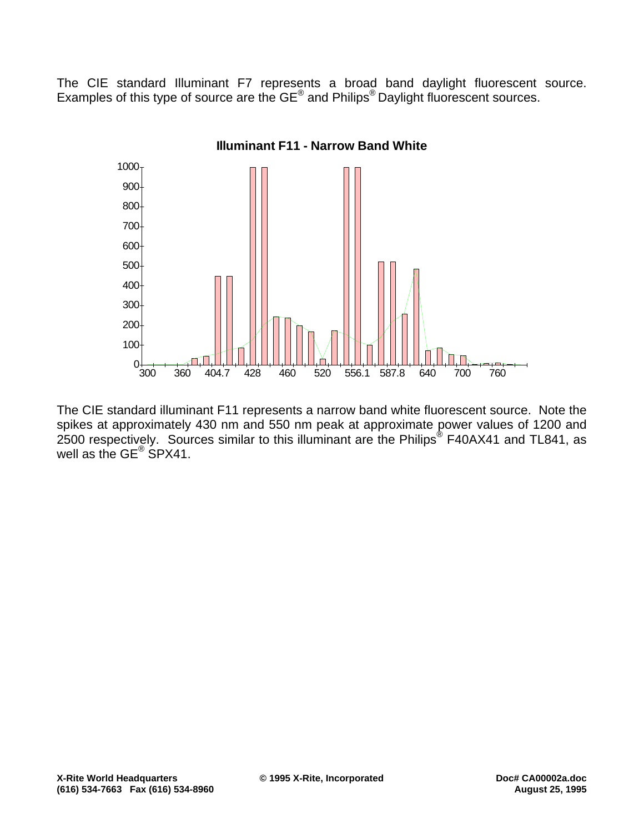The CIE standard Illuminant F7 represents a broad band daylight fluorescent source. Examples of this type of source are the GE® and Philips® Daylight fluorescent sources.



The CIE standard illuminant F11 represents a narrow band white fluorescent source. Note the spikes at approximately 430 nm and 550 nm peak at approximate power values of 1200 and 2500 respectively. Sources similar to this illuminant are the Philips<sup>®</sup> F40AX41 and TL841, as well as the GE<sup>®</sup> SPX41.

**X-Rite World Headquarters © 1995 X-Rite, Incorporated Doc# CA00002a.doc (616) 534-7663 Fax (616) 534-8960 August 25, 1995**